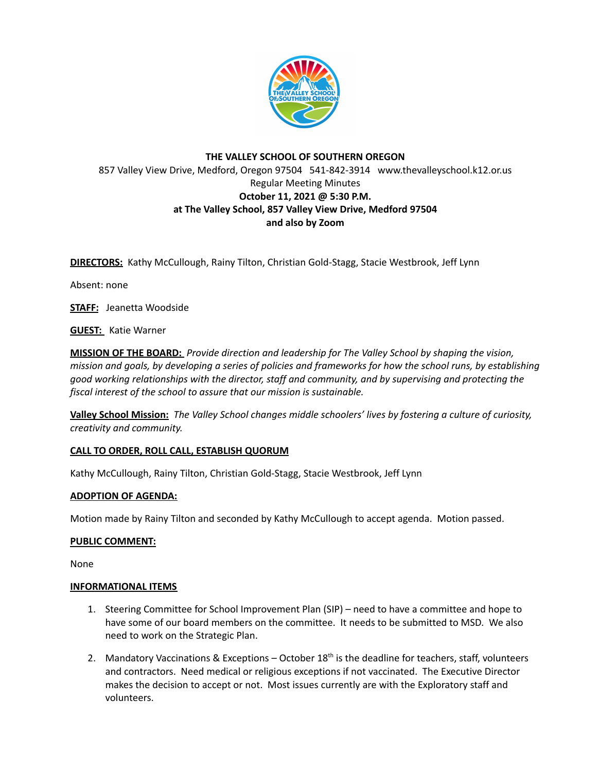

# **THE VALLEY SCHOOL OF SOUTHERN OREGON** 857 Valley View Drive, Medford, Oregon 97504 541-842-3914 www.thevalleyschool.k12.or.us Regular Meeting Minutes **October 11, 2021 @ 5:30 P.M. at The Valley School, 857 Valley View Drive, Medford 97504 and also by Zoom**

**DIRECTORS:** Kathy McCullough, Rainy Tilton, Christian Gold-Stagg, Stacie Westbrook, Jeff Lynn

Absent: none

**STAFF:** Jeanetta Woodside

**GUEST:** Katie Warner

**MISSION OF THE BOARD:** *Provide direction and leadership for The Valley School by shaping the vision,* mission and goals, by developing a series of policies and frameworks for how the school runs, by establishing *good working relationships with the director, staff and community, and by supervising and protecting the fiscal interest of the school to assure that our mission is sustainable.*

**Valley School Mission:** *The Valley School changes middle schoolers' lives by fostering a culture of curiosity, creativity and community.*

## **CALL TO ORDER, ROLL CALL, ESTABLISH QUORUM**

Kathy McCullough, Rainy Tilton, Christian Gold-Stagg, Stacie Westbrook, Jeff Lynn

## **ADOPTION OF AGENDA:**

Motion made by Rainy Tilton and seconded by Kathy McCullough to accept agenda. Motion passed.

## **PUBLIC COMMENT:**

None

## **INFORMATIONAL ITEMS**

- 1. Steering Committee for School Improvement Plan (SIP) need to have a committee and hope to have some of our board members on the committee. It needs to be submitted to MSD. We also need to work on the Strategic Plan.
- 2. Mandatory Vaccinations & Exceptions October 18<sup>th</sup> is the deadline for teachers, staff, volunteers and contractors. Need medical or religious exceptions if not vaccinated. The Executive Director makes the decision to accept or not. Most issues currently are with the Exploratory staff and volunteers.